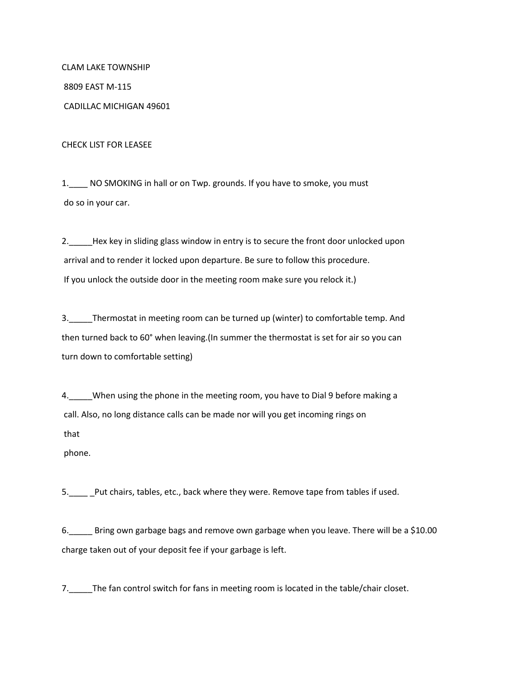CLAM LAKE TOWNSHIP 8809 EAST M-115 CADILLAC MICHIGAN 49601

CHECK LIST FOR LEASEE

1.\_\_\_\_ NO SMOKING in hall or on Twp. grounds. If you have to smoke, you must do so in your car.

2. Hex key in sliding glass window in entry is to secure the front door unlocked upon arrival and to render it locked upon departure. Be sure to follow this procedure. If you unlock the outside door in the meeting room make sure you relock it.)

3.\_\_\_\_\_Thermostat in meeting room can be turned up (winter) to comfortable temp. And then turned back to 60° when leaving.(In summer the thermostat is set for air so you can turn down to comfortable setting)

4.\_\_\_\_\_When using the phone in the meeting room, you have to Dial 9 before making a call. Also, no long distance calls can be made nor will you get incoming rings on that

phone.

5. Put chairs, tables, etc., back where they were. Remove tape from tables if used.

6.\_\_\_\_\_ Bring own garbage bags and remove own garbage when you leave. There will be a \$10.00 charge taken out of your deposit fee if your garbage is left.

7. The fan control switch for fans in meeting room is located in the table/chair closet.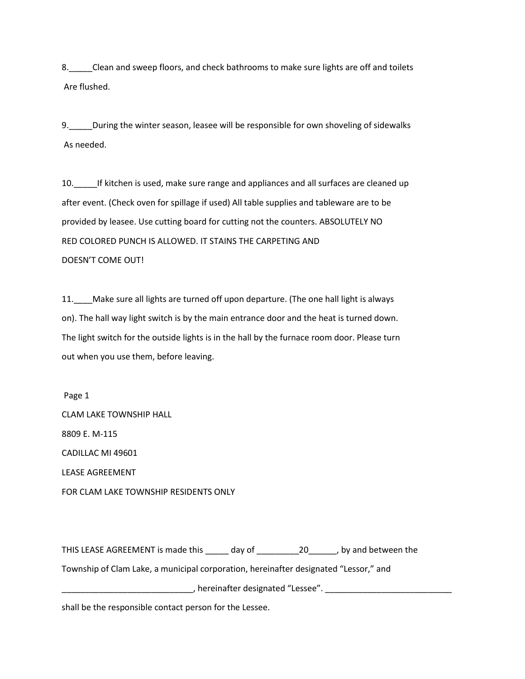8.\_\_\_\_\_Clean and sweep floors, and check bathrooms to make sure lights are off and toilets Are flushed.

9.\_\_\_\_\_During the winter season, leasee will be responsible for own shoveling of sidewalks As needed.

10. If kitchen is used, make sure range and appliances and all surfaces are cleaned up after event. (Check oven for spillage if used) All table supplies and tableware are to be provided by leasee. Use cutting board for cutting not the counters. ABSOLUTELY NO RED COLORED PUNCH IS ALLOWED. IT STAINS THE CARPETING AND DOESN'T COME OUT!

11.\_\_\_\_Make sure all lights are turned off upon departure. (The one hall light is always on). The hall way light switch is by the main entrance door and the heat is turned down. The light switch for the outside lights is in the hall by the furnace room door. Please turn out when you use them, before leaving.

Page 1 CLAM LAKE TOWNSHIP HALL 8809 E. M-115 CADILLAC MI 49601 LEASE AGREEMENT

FOR CLAM LAKE TOWNSHIP RESIDENTS ONLY

THIS LEASE AGREEMENT is made this \_\_\_\_\_ day of \_\_\_\_\_\_\_\_\_\_\_\_\_\_\_\_\_\_\_\_, by and between the

Township of Clam Lake, a municipal corporation, hereinafter designated "Lessor," and

**LECTEA** External terminafter designated "Lessee". **LECTEA** External of the set of the set of the set of the set o

shall be the responsible contact person for the Lessee.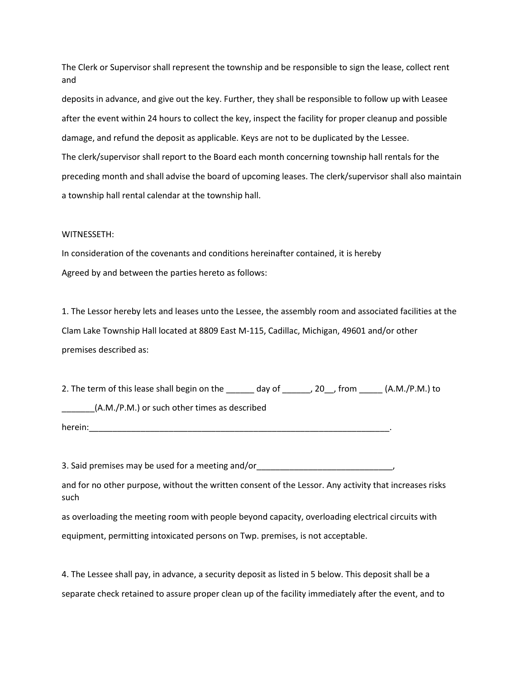The Clerk or Supervisor shall represent the township and be responsible to sign the lease, collect rent and

deposits in advance, and give out the key. Further, they shall be responsible to follow up with Leasee after the event within 24 hours to collect the key, inspect the facility for proper cleanup and possible damage, and refund the deposit as applicable. Keys are not to be duplicated by the Lessee. The clerk/supervisor shall report to the Board each month concerning township hall rentals for the preceding month and shall advise the board of upcoming leases. The clerk/supervisor shall also maintain a township hall rental calendar at the township hall.

## WITNESSETH:

In consideration of the covenants and conditions hereinafter contained, it is hereby Agreed by and between the parties hereto as follows:

1. The Lessor hereby lets and leases unto the Lessee, the assembly room and associated facilities at the Clam Lake Township Hall located at 8809 East M-115, Cadillac, Michigan, 49601 and/or other premises described as:

2. The term of this lease shall begin on the \_\_\_\_\_\_ day of \_\_\_\_\_\_, 20 \_\_, from \_\_\_\_\_\_ (A.M./P.M.) to \_\_\_\_\_\_\_(A.M./P.M.) or such other times as described herein:\_\_\_\_\_\_\_\_\_\_\_\_\_\_\_\_\_\_\_\_\_\_\_\_\_\_\_\_\_\_\_\_\_\_\_\_\_\_\_\_\_\_\_\_\_\_\_\_\_\_\_\_\_\_\_\_\_\_\_\_\_\_\_\_.

3. Said premises may be used for a meeting and/or

and for no other purpose, without the written consent of the Lessor. Any activity that increases risks such

as overloading the meeting room with people beyond capacity, overloading electrical circuits with equipment, permitting intoxicated persons on Twp. premises, is not acceptable.

4. The Lessee shall pay, in advance, a security deposit as listed in 5 below. This deposit shall be a separate check retained to assure proper clean up of the facility immediately after the event, and to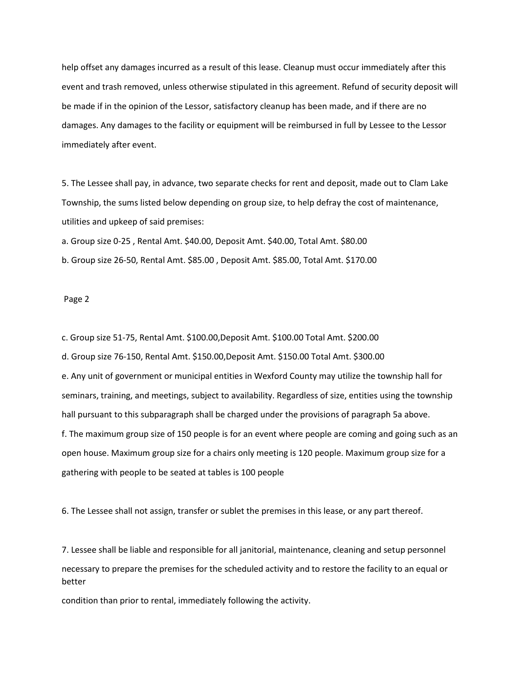help offset any damages incurred as a result of this lease. Cleanup must occur immediately after this event and trash removed, unless otherwise stipulated in this agreement. Refund of security deposit will be made if in the opinion of the Lessor, satisfactory cleanup has been made, and if there are no damages. Any damages to the facility or equipment will be reimbursed in full by Lessee to the Lessor immediately after event.

5. The Lessee shall pay, in advance, two separate checks for rent and deposit, made out to Clam Lake Township, the sums listed below depending on group size, to help defray the cost of maintenance, utilities and upkeep of said premises:

a. Group size 0-25 , Rental Amt. \$40.00, Deposit Amt. \$40.00, Total Amt. \$80.00 b. Group size 26-50, Rental Amt. \$85.00 , Deposit Amt. \$85.00, Total Amt. \$170.00

## Page 2

c. Group size 51-75, Rental Amt. \$100.00,Deposit Amt. \$100.00 Total Amt. \$200.00 d. Group size 76-150, Rental Amt. \$150.00,Deposit Amt. \$150.00 Total Amt. \$300.00 e. Any unit of government or municipal entities in Wexford County may utilize the township hall for seminars, training, and meetings, subject to availability. Regardless of size, entities using the township hall pursuant to this subparagraph shall be charged under the provisions of paragraph 5a above. f. The maximum group size of 150 people is for an event where people are coming and going such as an open house. Maximum group size for a chairs only meeting is 120 people. Maximum group size for a gathering with people to be seated at tables is 100 people

6. The Lessee shall not assign, transfer or sublet the premises in this lease, or any part thereof.

7. Lessee shall be liable and responsible for all janitorial, maintenance, cleaning and setup personnel necessary to prepare the premises for the scheduled activity and to restore the facility to an equal or better

condition than prior to rental, immediately following the activity.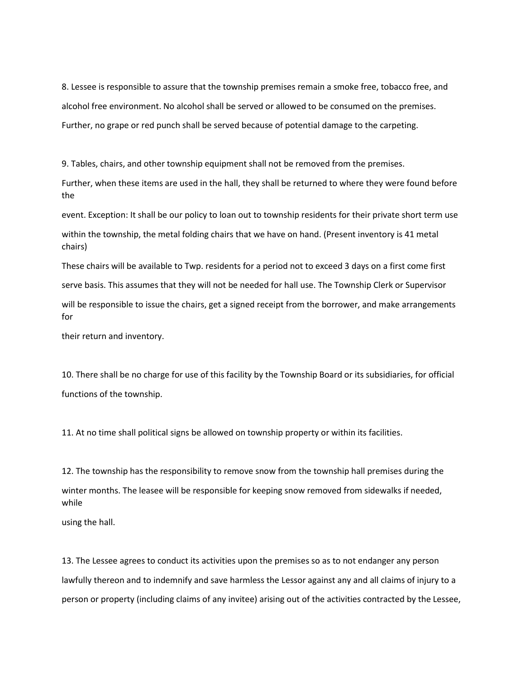8. Lessee is responsible to assure that the township premises remain a smoke free, tobacco free, and alcohol free environment. No alcohol shall be served or allowed to be consumed on the premises. Further, no grape or red punch shall be served because of potential damage to the carpeting.

9. Tables, chairs, and other township equipment shall not be removed from the premises.

Further, when these items are used in the hall, they shall be returned to where they were found before the

event. Exception: It shall be our policy to loan out to township residents for their private short term use

within the township, the metal folding chairs that we have on hand. (Present inventory is 41 metal chairs)

These chairs will be available to Twp. residents for a period not to exceed 3 days on a first come first serve basis. This assumes that they will not be needed for hall use. The Township Clerk or Supervisor will be responsible to issue the chairs, get a signed receipt from the borrower, and make arrangements for

their return and inventory.

10. There shall be no charge for use of this facility by the Township Board or its subsidiaries, for official functions of the township.

11. At no time shall political signs be allowed on township property or within its facilities.

12. The township has the responsibility to remove snow from the township hall premises during the winter months. The leasee will be responsible for keeping snow removed from sidewalks if needed, while

using the hall.

13. The Lessee agrees to conduct its activities upon the premises so as to not endanger any person lawfully thereon and to indemnify and save harmless the Lessor against any and all claims of injury to a person or property (including claims of any invitee) arising out of the activities contracted by the Lessee,